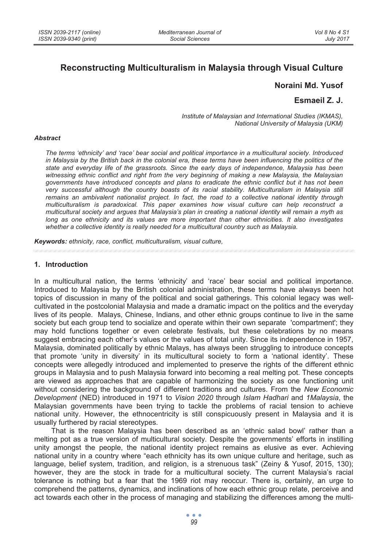# **Reconstructing Multiculturalism in Malaysia through Visual Culture**

## **Noraini Md. Yusof**

### **Esmaeil Z. J.**

*Institute of Malaysian and International Studies (IKMAS), National University of Malaysia (UKM)* 

#### *Abstract*

*The terms 'ethnicity' and 'race' bear social and political importance in a multicultural society. Introduced in Malaysia by the British back in the colonial era, these terms have been influencing the politics of the state and everyday life of the grassroots. Since the early days of independence, Malaysia has been witnessing ethnic conflict and right from the very beginning of making a new Malaysia, the Malaysian governments have introduced concepts and plans to eradicate the ethnic conflict but it has not been very successful although the country boasts of its racial stability. Multiculturalism in Malaysia still remains an ambivalent nationalist project. In fact, the road to a collective national identity through multiculturalism is paradoxical. This paper examines how visual culture can help reconstruct a multicultural society and argues that Malaysia's plan in creating a national identity will remain a myth as long as one ethnicity and its values are more important than other ethnicities. It also investigates whether a collective identity is really needed for a multicultural country such as Malaysia.* 

*Keywords: ethnicity, race, conflict, multiculturalism, visual culture,* 

#### **1. Introduction**

In a multicultural nation, the terms 'ethnicity' and 'race' bear social and political importance. Introduced to Malaysia by the British colonial administration, these terms have always been hot topics of discussion in many of the political and social gatherings. This colonial legacy was wellcultivated in the postcolonial Malaysia and made a dramatic impact on the politics and the everyday lives of its people. Malays, Chinese, Indians, and other ethnic groups continue to live in the same society but each group tend to socialize and operate within their own separate 'compartment'; they may hold functions together or even celebrate festivals, but these celebrations by no means suggest embracing each other's values or the values of total unity. Since its independence in 1957, Malaysia, dominated politically by ethnic Malays, has always been struggling to introduce concepts that promote 'unity in diversity' in its multicultural society to form a 'national identity'. These concepts were allegedly introduced and implemented to preserve the rights of the different ethnic groups in Malaysia and to push Malaysia forward into becoming a real melting pot. These concepts are viewed as approaches that are capable of harmonizing the society as one functioning unit without considering the background of different traditions and cultures. From the *New Economic Development* (NED) introduced in 1971 to *Vision 2020* through *Islam Hadhari* and *1Malaysia*, the Malaysian governments have been trying to tackle the problems of racial tension to achieve national unity. However, the ethnocentricity is still conspicuously present in Malaysia and it is usually furthered by racial stereotypes.

That is the reason Malaysia has been described as an 'ethnic salad bowl' rather than a melting pot as a true version of multicultural society. Despite the governments' efforts in instilling unity amongst the people, the national identity project remains as elusive as ever. Achieving national unity in a country where "each ethnicity has its own unique culture and heritage, such as language, belief system, tradition, and religion, is a strenuous task" (Zeiny & Yusof, 2015, 130); however, they are the stock in trade for a multicultural society. The current Malaysia's racial tolerance is nothing but a fear that the 1969 riot may reoccur. There is, certainly, an urge to comprehend the patterns, dynamics, and inclinations of how each ethnic group relate, perceive and act towards each other in the process of managing and stabilizing the differences among the multi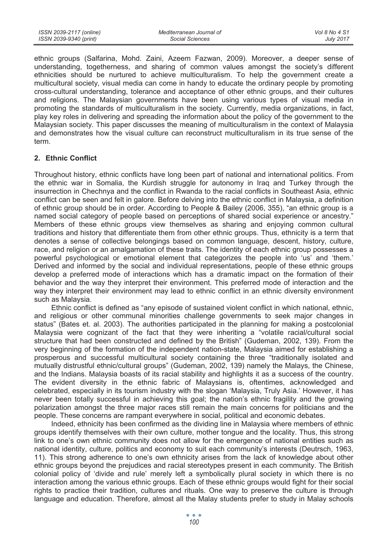ethnic groups (Salfarina, Mohd. Zaini, Azeem Fazwan, 2009). Moreover, a deeper sense of understanding, togetherness, and sharing of common values amongst the society's different ethnicities should be nurtured to achieve multiculturalism. To help the government create a multicultural society, visual media can come in handy to educate the ordinary people by promoting cross-cultural understanding, tolerance and acceptance of other ethnic groups, and their cultures and religions. The Malaysian governments have been using various types of visual media in promoting the standards of multiculturalism in the society. Currently, media organizations, in fact, play key roles in delivering and spreading the information about the policy of the government to the Malaysian society. This paper discusses the meaning of multiculturalism in the context of Malaysia and demonstrates how the visual culture can reconstruct multiculturalism in its true sense of the term.

# **2. Ethnic Conflict**

Throughout history, ethnic conflicts have long been part of national and international politics. From the ethnic war in Somalia, the Kurdish struggle for autonomy in Iraq and Turkey through the insurrection in Chechnya and the conflict in Rwanda to the racial conflicts in Southeast Asia, ethnic conflict can be seen and felt in galore. Before delving into the ethnic conflict in Malaysia, a definition of ethnic group should be in order. According to People & Bailey (2006, 355), "an ethnic group is a named social category of people based on perceptions of shared social experience or ancestry." Members of these ethnic groups view themselves as sharing and enjoying common cultural traditions and history that differentiate them from other ethnic groups. Thus, ethnicity is a term that denotes a sense of collective belongings based on common language, descent, history, culture, race, and religion or an amalgamation of these traits. The identity of each ethnic group possesses a powerful psychological or emotional element that categorizes the people into 'us' and 'them.' Derived and informed by the social and individual representations, people of these ethnic groups develop a preferred mode of interactions which has a dramatic impact on the formation of their behavior and the way they interpret their environment. This preferred mode of interaction and the way they interpret their environment may lead to ethnic conflict in an ethnic diversity environment such as Malaysia.

Ethnic conflict is defined as "any episode of sustained violent conflict in which national, ethnic, and religious or other communal minorities challenge governments to seek major changes in status" (Bates et. al. 2003). The authorities participated in the planning for making a postcolonial Malaysia were cognizant of the fact that they were inheriting a "volatile racial/cultural social structure that had been constructed and defined by the British" (Gudeman, 2002, 139). From the very beginning of the formation of the independent nation-state, Malaysia aimed for establishing a prosperous and successful multicultural society containing the three "traditionally isolated and mutually distrustful ethnic/cultural groups" (Gudeman, 2002, 139) namely the Malays, the Chinese, and the Indians. Malaysia boasts of its racial stability and highlights it as a success of the country. The evident diversity in the ethnic fabric of Malaysians is, oftentimes, acknowledged and celebrated, especially in its tourism industry with the slogan 'Malaysia, Truly Asia.' However, it has never been totally successful in achieving this goal; the nation's ethnic fragility and the growing polarization amongst the three major races still remain the main concerns for politicians and the people. These concerns are rampant everywhere in social, political and economic debates.

Indeed, ethnicity has been confirmed as the dividing line in Malaysia where members of ethnic groups identify themselves with their own culture, mother tongue and the locality. Thus, this strong link to one's own ethnic community does not allow for the emergence of national entities such as national identity, culture, politics and economy to suit each community's interests (Deutrsch, 1963, 11). This strong adherence to one's own ethnicity arises from the lack of knowledge about other ethnic groups beyond the prejudices and racial stereotypes present in each community. The British colonial policy of 'divide and rule' merely left a symbolically plural society in which there is no interaction among the various ethnic groups. Each of these ethnic groups would fight for their social rights to practice their tradition, cultures and rituals. One way to preserve the culture is through language and education. Therefore, almost all the Malay students prefer to study in Malay schools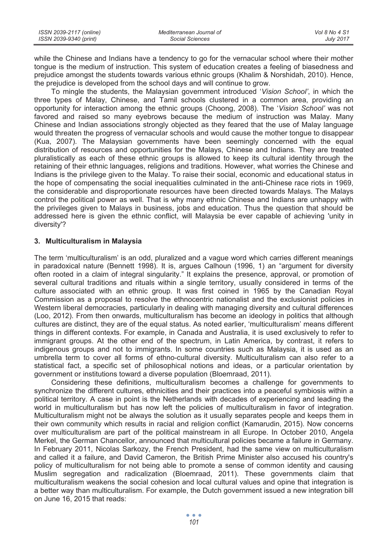| ISSN 2039-2117 (online) | Mediterranean Journal of | Vol 8 No 4 S1    |
|-------------------------|--------------------------|------------------|
| ISSN 2039-9340 (print)  | Social Sciences          | <b>July 2017</b> |

while the Chinese and Indians have a tendency to go for the vernacular school where their mother tongue is the medium of instruction. This system of education creates a feeling of biasedness and prejudice amongst the students towards various ethnic groups (Khalim & Norshidah, 2010). Hence, the prejudice is developed from the school days and will continue to grow.

To mingle the students, the Malaysian government introduced '*Vision School'*, in which the three types of Malay, Chinese, and Tamil schools clustered in a common area, providing an opportunity for interaction among the ethnic groups (Choong, 2008). The '*Vision School'* was not favored and raised so many eyebrows because the medium of instruction was Malay. Many Chinese and Indian associations strongly objected as they feared that the use of Malay language would threaten the progress of vernacular schools and would cause the mother tongue to disappear (Kua, 2007). The Malaysian governments have been seemingly concerned with the equal distribution of resources and opportunities for the Malays, Chinese and Indians. They are treated pluralistically as each of these ethnic groups is allowed to keep its cultural identity through the retaining of their ethnic languages, religions and traditions. However, what worries the Chinese and Indians is the privilege given to the Malay. To raise their social, economic and educational status in the hope of compensating the social inequalities culminated in the anti-Chinese race riots in 1969, the considerable and disproportionate resources have been directed towards Malays. The Malays control the political power as well. That is why many ethnic Chinese and Indians are unhappy with the privileges given to Malays in business, jobs and education. Thus the question that should be addressed here is given the ethnic conflict, will Malaysia be ever capable of achieving 'unity in diversity'?

#### **3. Multiculturalism in Malaysia**

The term 'multiculturalism' is an odd, pluralized and a vague word which carries different meanings in paradoxical nature (Bennett 1998). It is, argues Calhoun (1996, 1) an "argument for diversity often rooted in a claim of integral singularity." It explains the presence, approval, or promotion of several cultural traditions and rituals within a single territory, usually considered in terms of the culture associated with an ethnic group. It was first coined in 1965 by the Canadian Royal Commission as a proposal to resolve the ethnocentric nationalist and the exclusionist policies in Western liberal democracies, particularly in dealing with managing diversity and cultural differences (Loo, 2012). From then onwards, multiculturalism has become an ideology in politics that although cultures are distinct, they are of the equal status. As noted earlier, 'multiculturalism' means different things in different contexts. For example, in Canada and Australia, it is used exclusively to refer to immigrant groups. At the other end of the spectrum, in Latin America, by contrast, it refers to indigenous groups and not to immigrants. In some countries such as Malaysia, it is used as an umbrella term to cover all forms of ethno-cultural diversity. Multiculturalism can also refer to a statistical fact, a specific set of philosophical notions and ideas, or a particular orientation by government or institutions toward a diverse population (Bloemraad, 2011).

Considering these definitions, multiculturalism becomes a challenge for governments to synchronize the different cultures, ethnicities and their practices into a peaceful symbiosis within a political territory. A case in point is the Netherlands with decades of experiencing and leading the world in multiculturalism but has now left the policies of multiculturalism in favor of integration. Multiculturalism might not be always the solution as it usually separates people and keeps them in their own community which results in racial and religion conflict (Kamarudin, 2015). Now concerns over multiculturalism are part of the political mainstream in all Europe. In October 2010, Angela Merkel, the German Chancellor, announced that multicultural policies became a failure in Germany. In February 2011, Nicolas Sarkozy, the French President, had the same view on multiculturalism and called it a failure, and David Cameron, the British Prime Minister also accused his country's policy of multiculturalism for not being able to promote a sense of common identity and causing Muslim segregation and radicalization (Bloemraad, 2011). These governments claim that multiculturalism weakens the social cohesion and local cultural values and opine that integration is a better way than multiculturalism. For example, the Dutch government issued a new integration bill on June 16, 2015 that reads: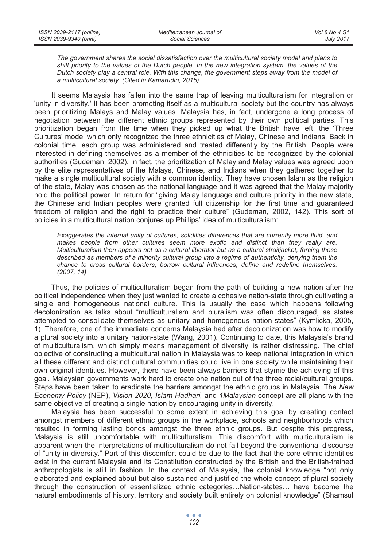*The government shares the social dissatisfaction over the multicultural society model and plans to shift priority to the values of the Dutch people. In the new integration system, the values of the Dutch society play a central role. With this change, the government steps away from the model of a multicultural society. (Cited in Kamarudin, 2015)* 

It seems Malaysia has fallen into the same trap of leaving multiculturalism for integration or 'unity in diversity.' It has been promoting itself as a multicultural society but the country has always been prioritizing Malays and Malay values. Malaysia has, in fact, undergone a long process of negotiation between the different ethnic groups represented by their own political parties. This prioritization began from the time when they picked up what the British have left: the 'Three Cultures' model which only recognized the three ethnicities of Malay, Chinese and Indians. Back in colonial time, each group was administered and treated differently by the British. People were interested in defining themselves as a member of the ethnicities to be recognized by the colonial authorities (Gudeman, 2002). In fact, the prioritization of Malay and Malay values was agreed upon by the elite representatives of the Malays, Chinese, and Indians when they gathered together to make a single multicultural society with a common identity. They have chosen Islam as the religion of the state, Malay was chosen as the national language and it was agreed that the Malay majority hold the political power. In return for "giving Malay language and culture priority in the new state, the Chinese and Indian peoples were granted full citizenship for the first time and guaranteed freedom of religion and the right to practice their culture" (Gudeman, 2002, 142). This sort of policies in a multicultural nation conjures up Phillips' idea of multiculturalism:

*Exaggerates the internal unity of cultures, solidifies differences that are currently more fluid, and makes people from other cultures seem more exotic and distinct than they really are. Multiculturalism then appears not as a cultural liberator but as a cultural straitjacket, forcing those described as members of a minority cultural group into a regime of authenticity, denying them the chance to cross cultural borders, borrow cultural influences, define and redefine themselves. (2007, 14)* 

Thus, the policies of multiculturalism began from the path of building a new nation after the political independence when they just wanted to create a cohesive nation-state through cultivating a single and homogeneous national culture. This is usually the case which happens following decolonization as talks about "multiculturalism and pluralism was often discouraged, as states attempted to consolidate themselves as unitary and homogenous nation-states" (Kymlicka, 2005, 1). Therefore, one of the immediate concerns Malaysia had after decolonization was how to modify a plural society into a unitary nation-state (Wang, 2001). Continuing to date, this Malaysia's brand of multiculturalism, which simply means management of diversity, is rather distressing. The chief objective of constructing a multicultural nation in Malaysia was to keep national integration in which all these different and distinct cultural communities could live in one society while maintaining their own original identities. However, there have been always barriers that stymie the achieving of this goal. Malaysian governments work hard to create one nation out of the three racial/cultural groups. Steps have been taken to eradicate the barriers amongst the ethnic groups in Malaysia. The *New Economy Policy* (NEP), *Vision 2020*, *Islam Hadhari,* and *1Malaysian* concept are all plans with the same objective of creating a single nation by encouraging unity in diversity.

Malaysia has been successful to some extent in achieving this goal by creating contact amongst members of different ethnic groups in the workplace, schools and neighborhoods which resulted in forming lasting bonds amongst the three ethnic groups. But despite this progress, Malaysia is still uncomfortable with multiculturalism. This discomfort with multiculturalism is apparent when the interpretations of multiculturalism do not fall beyond the conventional discourse of "unity in diversity." Part of this discomfort could be due to the fact that the core ethnic identities exist in the current Malaysia and its Constitution constructed by the British and the British-trained anthropologists is still in fashion. In the context of Malaysia, the colonial knowledge "not only elaborated and explained about but also sustained and justified the whole concept of plural society through the construction of essentialized ethnic categories…Nation-states… have become the natural embodiments of history, territory and society built entirely on colonial knowledge" (Shamsul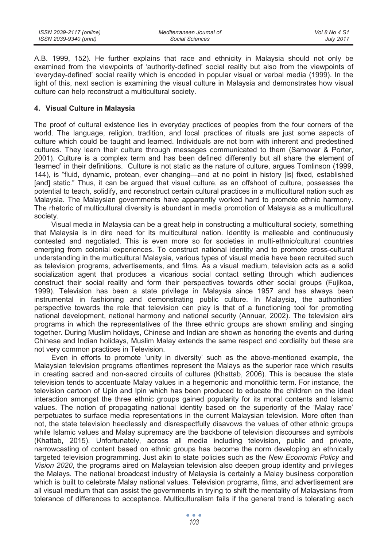| ISSN 2039-2117 (online) | Mediterranean Journal of | Vol 8 No 4 S1    |
|-------------------------|--------------------------|------------------|
| ISSN 2039-9340 (print)  | Social Sciences          | <b>July 2017</b> |

A.B. 1999, 152). He further explains that race and ethnicity in Malaysia should not only be examined from the viewpoints of 'authority-defined' social reality but also from the viewpoints of 'everyday-defined' social reality which is encoded in popular visual or verbal media (1999). In the light of this, next section is examining the visual culture in Malaysia and demonstrates how visual culture can help reconstruct a multicultural society.

### **4. Visual Culture in Malaysia**

The proof of cultural existence lies in everyday practices of peoples from the four corners of the world. The language, religion, tradition, and local practices of rituals are just some aspects of culture which could be taught and learned. Individuals are not born with inherent and predestined cultures. They learn their culture through messages communicated to them (Samovar & Porter, 2001). Culture is a complex term and has been defined differently but all share the element of 'learned' in their definitions. Culture is not static as the nature of culture, argues Tomlinson (1999, 144), is "fluid, dynamic, protean, ever changing—and at no point in history [is] fixed, established [and] static." Thus, it can be argued that visual culture, as an offshoot of culture, possesses the potential to teach, solidify, and reconstruct certain cultural practices in a multicultural nation such as Malaysia. The Malaysian governments have apparently worked hard to promote ethnic harmony. The rhetoric of multicultural diversity is abundant in media promotion of Malaysia as a multicultural society.

Visual media in Malaysia can be a great help in constructing a multicultural society, something that Malaysia is in dire need for its multicultural nation. Identity is malleable and continuously contested and negotiated. This is even more so for societies in multi-ethnic/cultural countries emerging from colonial experiences. To construct national identity and to promote cross-cultural understanding in the multicultural Malaysia, various types of visual media have been recruited such as television programs, advertisements, and films. As a visual medium, television acts as a solid socialization agent that produces a vicarious social contact setting through which audiences construct their social reality and form their perspectives towards other social groups (Fujikoa, 1999). Television has been a state privilege in Malaysia since 1957 and has always been instrumental in fashioning and demonstrating public culture. In Malaysia, the authorities' perspective towards the role that television can play is that of a functioning tool for promoting national development, national harmony and national security (Annuar, 2002). The television airs programs in which the representatives of the three ethnic groups are shown smiling and singing together. During Muslim holidays, Chinese and Indian are shown as honoring the events and during Chinese and Indian holidays, Muslim Malay extends the same respect and cordiality but these are not very common practices in Television.

Even in efforts to promote 'unity in diversity' such as the above-mentioned example, the Malaysian television programs oftentimes represent the Malays as the superior race which results in creating sacred and non-sacred circuits of cultures (Khattab, 2006). This is because the state television tends to accentuate Malay values in a hegemonic and monolithic term. For instance, the television cartoon of Upin and Ipin which has been produced to educate the children on the ideal interaction amongst the three ethnic groups gained popularity for its moral contents and Islamic values. The notion of propagating national identity based on the superiority of the 'Malay race' perpetuates to surface media representations in the current Malaysian television. More often than not, the state television heedlessly and disrespectfully disavows the values of other ethnic groups while Islamic values and Malay supremacy are the backbone of television discourses and symbols (Khattab, 2015). Unfortunately, across all media including television, public and private, narrowcasting of content based on ethnic groups has become the norm developing an ethnically targeted television programming. Just akin to state policies such as the *New Economic Policy* and *Vision 2020*, the programs aired on Malaysian television also deepen group identity and privileges the Malays. The national broadcast industry of Malaysia is certainly a Malay business corporation which is built to celebrate Malay national values. Television programs, films, and advertisement are all visual medium that can assist the governments in trying to shift the mentality of Malaysians from tolerance of differences to acceptance. Multiculturalism fails if the general trend is tolerating each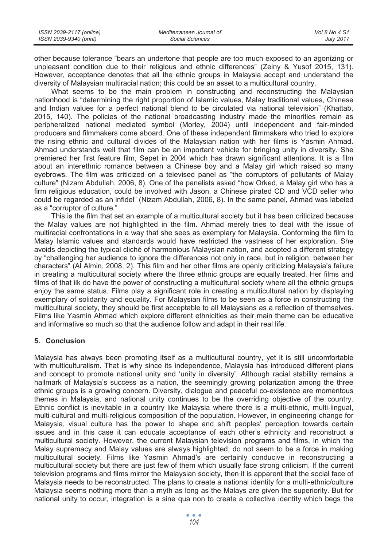| ISSN 2039-2117 (online) | Mediterranean Journal of | Vol 8 No 4 S1    |
|-------------------------|--------------------------|------------------|
| ISSN 2039-9340 (print)  | Social Sciences          | <b>July 2017</b> |

other because tolerance "bears an undertone that people are too much exposed to an agonizing or unpleasant condition due to their religious and ethnic differences" (Zeiny & Yusof 2015, 131). However, acceptance denotes that all the ethnic groups in Malaysia accept and understand the diversity of Malaysian multiracial nation; this could be an asset to a multicultural country.

What seems to be the main problem in constructing and reconstructing the Malaysian nationhood is "determining the right proportion of Islamic values, Malay traditional values, Chinese and Indian values for a perfect national blend to be circulated via national television" (Khattab, 2015, 140). The policies of the national broadcasting industry made the minorities remain as peripheralized national mediated symbol (Morley, 2004) until independent and fair-minded producers and filmmakers come aboard. One of these independent filmmakers who tried to explore the rising ethnic and cultural divides of the Malaysian nation with her films is Yasmin Ahmad. Ahmad understands well that film can be an important vehicle for bringing unity in diversity. She premiered her first feature film, Sepet in 2004 which has drawn significant attentions. It is a film about an interethnic romance between a Chinese boy and a Malay girl which raised so many eyebrows. The film was criticized on a televised panel as "the corruptors of pollutants of Malay culture" (Nizam Abdullah, 2006, 8). One of the panelists asked "how Orked, a Malay girl who has a firm religious education, could be involved with Jason, a Chinese pirated CD and VCD seller who could be regarded as an infidel" (Nizam Abdullah, 2006, 8). In the same panel, Ahmad was labeled as a "corruptor of culture."

This is the film that set an example of a multicultural society but it has been criticized because the Malay values are not highlighted in the film. Ahmad merely tries to deal with the issue of multiracial confrontations in a way that she sees as exemplary for Malaysia. Conforming the film to Malay Islamic values and standards would have restricted the vastness of her exploration. She avoids depicting the typical cliché of harmonious Malaysian nation, and adopted a different strategy by "challenging her audience to ignore the differences not only in race, but in religion, between her characters" (Al Almin, 2008, 2). This film and her other films are openly criticizing Malaysia's failure in creating a multicultural society where the three ethnic groups are equally treated. Her films and films of that ilk do have the power of constructing a multicultural society where all the ethnic groups enjoy the same status. Films play a significant role in creating a multicultural nation by displaying exemplary of solidarity and equality. For Malaysian films to be seen as a force in constructing the multicultural society, they should be first acceptable to all Malaysians as a reflection of themselves. Films like Yasmin Ahmad which explore different ethnicities as their main theme can be educative and informative so much so that the audience follow and adapt in their real life.

# **5. Conclusion**

Malaysia has always been promoting itself as a multicultural country, yet it is still uncomfortable with multiculturalism. That is why since its independence, Malaysia has introduced different plans and concept to promote national unity and 'unity in diversity'. Although racial stability remains a hallmark of Malaysia's success as a nation, the seemingly growing polarization among the three ethnic groups is a growing concern. Diversity, dialogue and peaceful co-existence are momentous themes in Malaysia, and national unity continues to be the overriding objective of the country. Ethnic conflict is inevitable in a country like Malaysia where there is a multi-ethnic, multi-lingual, multi-cultural and multi-religious composition of the population. However, in engineering change for Malaysia, visual culture has the power to shape and shift peoples' perception towards certain issues and in this case it can educate acceptance of each other's ethnicity and reconstruct a multicultural society. However, the current Malaysian television programs and films, in which the Malay supremacy and Malay values are always highlighted, do not seem to be a force in making multicultural society. Films like Yasmin Ahmad's are certainly conducive in reconstructing a multicultural society but there are just few of them which usually face strong criticism. If the current television programs and films mirror the Malaysian society, then it is apparent that the social face of Malaysia needs to be reconstructed. The plans to create a national identity for a multi-ethnic/culture Malaysia seems nothing more than a myth as long as the Malays are given the superiority. But for national unity to occur, integration is a sine qua non to create a collective identity which begs the